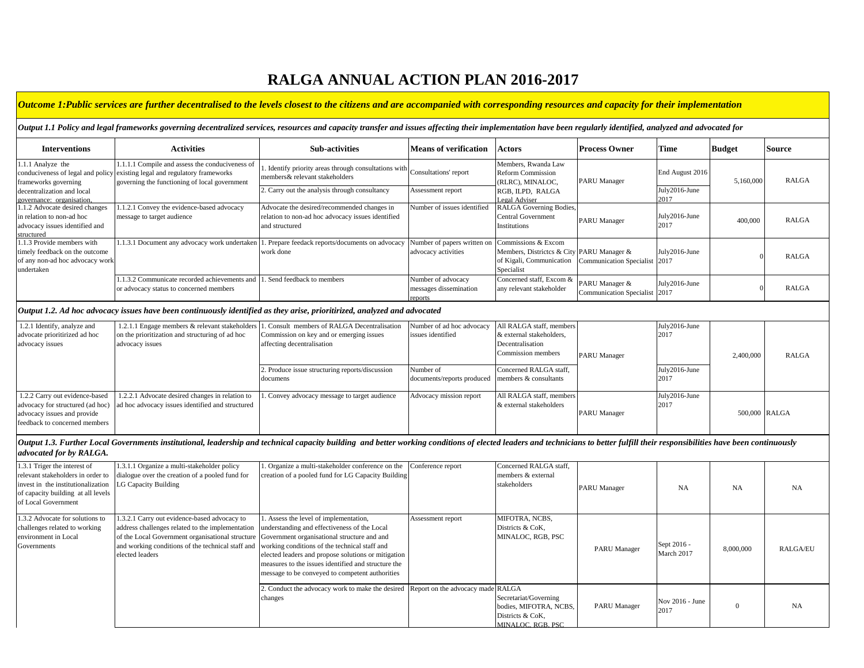# **RALGA ANNUAL ACTION PLAN 2016-2017**

# *Outcome 1:Public services are further decentralised to the levels closest to the citizens and are accompanied with corresponding resources and capacity for their implementation*

## *Output 1.1 Policy and legal frameworks governing decentralized services, resources and capacity transfer and issues affecting their implementation have been regularly identified, analyzed and advocated for*

| <b>Interventions</b>                                                                                         | Activities                                                                                                                                                                     | <b>Sub-activities</b>                                                                                              | <b>Means of verification</b>                                           | <b>Actors</b>                                                                                                     | <b>Process Owner</b>                            | Time                  | <b>Budget</b> | <b>Source</b> |
|--------------------------------------------------------------------------------------------------------------|--------------------------------------------------------------------------------------------------------------------------------------------------------------------------------|--------------------------------------------------------------------------------------------------------------------|------------------------------------------------------------------------|-------------------------------------------------------------------------------------------------------------------|-------------------------------------------------|-----------------------|---------------|---------------|
| 1.1.1 Analyze the<br>frameworks governing                                                                    | 1.1.1.1 Compile and assess the conduciveness of<br>conduciveness of legal and policy existing legal and regulatory frameworks<br>governing the functioning of local government | 1. Identify priority areas through consultations with Consultations' report<br>members& relevant stakeholders      |                                                                        | Members, Rwanda Law<br><b>Reform Commission</b><br>(RLRC), MINALOC,                                               | <b>PARU</b> Manager                             | End August 2016       | 5,160,000     | <b>RALGA</b>  |
| decentralization and local<br>governance: organisation.                                                      |                                                                                                                                                                                | 2. Carry out the analysis through consultancy                                                                      | Assessment report                                                      | RGB, ILPD, RALGA<br>Legal Adviser                                                                                 |                                                 | July2016-June<br>2017 |               |               |
| 1.1.2 Advocate desired changes<br>in relation to non-ad hoc<br>advocacy issues identified and<br>structured  | 1.1.2.1 Convey the evidence-based advocacy<br>message to target audience                                                                                                       | Advocate the desired/recommended changes in<br>relation to non-ad hoc advocacy issues identified<br>and structured | Number of issues identified                                            | RALGA Governing Bodies,<br>Central Government<br>Institutions                                                     | <b>PARU</b> Manager                             | July2016-June<br>2017 | 400,000       | <b>RALGA</b>  |
| .1.3 Provide members with<br>timely feedback on the outcome<br>of any non-ad hoc advocacy work<br>undertaken | 1.1.3.1 Document any advocacy work undertaken                                                                                                                                  | . Prepare feedack reports/documents on advocacy<br>work done                                                       | Number of papers written on Commissions & Excom<br>advocacy activities | Members, Districtes & City PARU Manager &<br>of Kigali, Communication Communication Specialist 2017<br>Specialist |                                                 | July2016-June         |               | <b>RALGA</b>  |
|                                                                                                              | 1.1.3.2 Communicate recorded achievements and 1.<br>or advocacy status to concerned members                                                                                    | . Send feedback to members                                                                                         | Number of advocacy<br>messages dissemination<br>reports                | Concerned staff, Excom &<br>any relevant stakeholder                                                              | PARU Manager &<br>Communication Specialist 2017 | July2016-June         |               | RALGA         |

### *Output 1.2. Ad hoc advocacy issues have been continuously identified as they arise, prioritirized, analyzed and advocated*

| 1.2.1 Identify, analyze and<br>advocate prioritirized ad hoc<br>advocacy issues                                                    | 1.2.1.1 Engage members & relevant stakeholders 1.<br>on the prioritization and structuring of ad hoc<br>advocacy issues | . Consult members of RALGA Decentralisation<br>Commission on key and or emerging issues<br>affecting decentralisation | Number of ad hoc advocacy<br>issues identified | All RALGA staff, members<br>& external stakeholders,<br>Decentralisation<br>Commission members | <b>PARU Manager</b> | July2016-June<br>2017 | 2,400,000     | <b>RALGA</b> |
|------------------------------------------------------------------------------------------------------------------------------------|-------------------------------------------------------------------------------------------------------------------------|-----------------------------------------------------------------------------------------------------------------------|------------------------------------------------|------------------------------------------------------------------------------------------------|---------------------|-----------------------|---------------|--------------|
|                                                                                                                                    |                                                                                                                         | 2. Produce issue structuring reports/discussion<br>documens                                                           | Number of<br>documents/reports produced        | Concerned RALGA staff,<br>members & consultants                                                |                     | July2016-June<br>2017 |               |              |
| 1.2.2 Carry out evidence-based<br>advocacy for structured (ad hoc)<br>advocacy issues and provide<br>feedback to concerned members | 1.2.2.1 Advocate desired changes in relation to<br>ad hoc advocacy issues identified and structured                     | . Convey advocacy message to target audience                                                                          | Advocacy mission report                        | All RALGA staff, members<br>& external stakeholders                                            | <b>PARU Manager</b> | July2016-June<br>2017 | 500,000 RALGA |              |

#### Output 1.3. Further Local Governments institutional, leadership and technical capacity building and better working conditions of elected leaders and technicians to better fulfill their responsibilities have been continuous *advocated for by RALGA.*

| 1.3.1 Triger the interest of<br>relevant stakeholders in order to<br>invest in the institutionalization<br>of capacity building at all levels<br>of Local Government | 1.3.1.1 Organize a multi-stakeholder policy<br>dialogue over the creation of a pooled fund for<br><b>LG Capacity Building</b>                                                                                                                                                                                          | . Organize a multi-stakeholder conference on the<br>creation of a pooled fund for LG Capacity Building                                                                                                                                                  | Conference report | Concerned RALGA staff,<br>members & external<br>stakeholders                             | <b>PARU</b> Manager | <b>NA</b>                 | <b>NA</b> | <b>NA</b>       |
|----------------------------------------------------------------------------------------------------------------------------------------------------------------------|------------------------------------------------------------------------------------------------------------------------------------------------------------------------------------------------------------------------------------------------------------------------------------------------------------------------|---------------------------------------------------------------------------------------------------------------------------------------------------------------------------------------------------------------------------------------------------------|-------------------|------------------------------------------------------------------------------------------|---------------------|---------------------------|-----------|-----------------|
| 1.3.2 Advocate for solutions to<br>challenges related to working<br>environment in Local<br>Governments                                                              | 1.3.2.1 Carry out evidence-based advocacy to<br>address challenges related to the implementation<br>of the Local Government organisational structure Government organisational structure and and<br>and working conditions of the technical staff and working conditions of the technical staff and<br>elected leaders | 1. Assess the level of implementation,<br>understanding and effectiveness of the Local<br>elected leaders and propose solutions or mitigation<br>measures to the issues identified and structure the<br>message to be conveyed to competent authorities | Assessment report | MIFOTRA, NCBS,<br>Districts & CoK.<br>MINALOC, RGB, PSC                                  | <b>PARU Manager</b> | Sept 2016 -<br>March 2017 | 8,000,000 | <b>RALGA/EU</b> |
|                                                                                                                                                                      |                                                                                                                                                                                                                                                                                                                        | Conduct the advocacy work to make the desired Report on the advocacy made RALGA<br>changes                                                                                                                                                              |                   | Secretariat/Governing<br>bodies, MIFOTRA, NCBS,<br>Districts & CoK,<br>MINALOC, RGB, PSC | <b>PARU Manager</b> | Nov 2016 - June<br>2017   | $\Omega$  | <b>NA</b>       |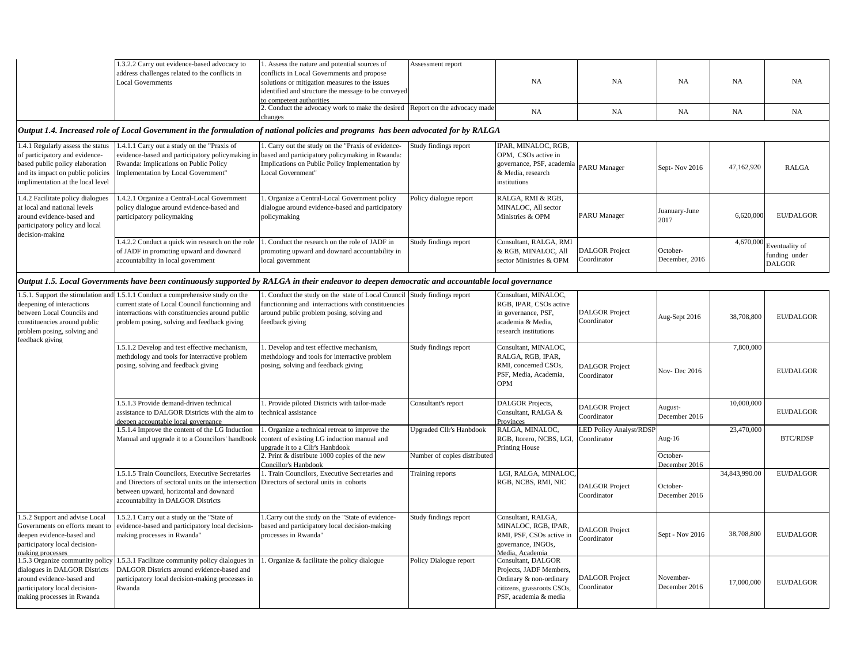|                                                                                                                                                                                  | 1.3.2.2 Carry out evidence-based advocacy to<br>address challenges related to the conflicts in<br><b>Local Governments</b>                                                                                                           | 1. Assess the nature and potential sources of<br>conflicts in Local Governments and propose<br>solutions or mitigation measures to the issues<br>identified and structure the message to be conveyed<br>to competent authorities | Assessment report                                               | NA                                                                                                                              | NA                                            | <b>NA</b>                                  | NA            | NA                                        |
|----------------------------------------------------------------------------------------------------------------------------------------------------------------------------------|--------------------------------------------------------------------------------------------------------------------------------------------------------------------------------------------------------------------------------------|----------------------------------------------------------------------------------------------------------------------------------------------------------------------------------------------------------------------------------|-----------------------------------------------------------------|---------------------------------------------------------------------------------------------------------------------------------|-----------------------------------------------|--------------------------------------------|---------------|-------------------------------------------|
|                                                                                                                                                                                  |                                                                                                                                                                                                                                      | . Conduct the advocacy work to make the desired Report on the advocacy made<br>changes                                                                                                                                           |                                                                 | NA                                                                                                                              | NA                                            | NA                                         | NA            | NA                                        |
|                                                                                                                                                                                  |                                                                                                                                                                                                                                      | Output 1.4. Increased role of Local Government in the formulation of national policies and programs has been advocated for by RALGA                                                                                              |                                                                 |                                                                                                                                 |                                               |                                            |               |                                           |
| 1.4.1 Regularly assess the status<br>of participatory and evidence-<br>based public policy elaboration<br>and its impact on public policies<br>implimentation at the local level | 1.4.1.1 Carry out a study on the "Praxis of<br>evidence-based and participatory policymaking in<br>Rwanda: Implications on Public Policy<br>Implementation by Local Government"                                                      | . Carry out the study on the "Praxis of evidence-<br>based and participatory policymaking in Rwanda:<br>Implications on Public Policy Implementation by<br>Local Government"                                                     | Study findings report                                           | PAR, MINALOC, RGB,<br>OPM, CSOs active in<br>governance, PSF, academia<br>& Media, research<br>nstitutions                      | <b>PARU</b> Manager                           | Sept-Nov 2016                              | 47,162,920    | <b>RALGA</b>                              |
| 1.4.2 Facilitate policy dialogues<br>at local and national levels<br>around evidence-based and<br>participatory policy and local<br>decision-making                              | 1.4.2.1 Organize a Central-Local Government<br>policy dialogue around evidence-based and<br>participatory policymaking                                                                                                               | . Organize a Central-Local Government policy<br>dialogue around evidence-based and participatory<br>policymaking                                                                                                                 | Policy dialogue report                                          | RALGA, RMI & RGB,<br>MINALOC, All sector<br>Ministries & OPM                                                                    | <b>PARU Manager</b>                           | Juanuary-June<br>2017                      | 6,620,000     | <b>EU/DALGOR</b>                          |
|                                                                                                                                                                                  | 1.4.2.2 Conduct a quick win research on the role<br>of JADF in promoting upward and downard<br>accountability in local government                                                                                                    | . Conduct the research on the role of JADF in<br>promoting upward and downard accountability in<br>ocal government                                                                                                               | Study findings report                                           | Consultant, RALGA, RMI<br>& RGB, MINALOC, All<br>sector Ministries & OPM                                                        | <b>DALGOR</b> Project<br>Coordinator          | October-<br>December, 2016                 | 4,670,000     | Eventuality of<br>funding under<br>DALGOR |
|                                                                                                                                                                                  |                                                                                                                                                                                                                                      | Output 1.5. Local Governments have been continuously supported by RALGA in their endeavor to deepen democratic and accountable local governance                                                                                  |                                                                 |                                                                                                                                 |                                               |                                            |               |                                           |
| deepening of interactions<br>between Local Councils and<br>constituencies around public<br>problem posing, solving and<br>feedback giving                                        | 1.5.1. Support the stimulation and 1.5.1.1 Conduct a comprehensive study on the<br>current state of Local Council functionning and<br>interractions with constituencies around public<br>problem posing, solving and feedback giving | 1. Conduct the study on the state of Local Council Study findings report<br>functionning and interractions with constituencies<br>around public problem posing, solving and<br>feedback giving                                   |                                                                 | Consultant, MINALOC.<br>RGB, IPAR, CSOs active<br>n governance, PSF,<br>academia & Media,<br>research institutions              | <b>DALGOR</b> Project<br>Coordinator          | Aug-Sept 2016                              | 38,708,800    | <b>EU/DALGOR</b>                          |
|                                                                                                                                                                                  | 1.5.1.2 Develop and test effective mechanism,<br>methdology and tools for interractive problem<br>posing, solving and feedback giving                                                                                                | 1. Develop and test effective mechanism,<br>methdology and tools for interractive problem<br>posing, solving and feedback giving                                                                                                 | Study findings report                                           | Consultant, MINALOC,<br><b>RALGA, RGB, IPAR,</b><br>RMI, concerned CSOs,<br>PSF, Media, Academia,<br>OPM                        | <b>DALGOR Project</b><br>Coordinator          | Nov-Dec 2016                               | 7,800,000     | <b>EU/DALGOR</b>                          |
|                                                                                                                                                                                  | 1.5.1.3 Provide demand-driven technical<br>assistance to DALGOR Districts with the aim to<br>deepen accountable local governance                                                                                                     | 1. Provide piloted Districts with tailor-made<br>technical assistance                                                                                                                                                            | Consultant's report                                             | DALGOR Projects,<br>Consultant, RALGA &<br>Provinces                                                                            | <b>DALGOR</b> Project<br>Coordinator          | August-<br>December 2016                   | 10,000,000    | <b>EU/DALGOR</b>                          |
|                                                                                                                                                                                  | 1.5.1.4 Improve the content of the LG Induction<br>Manual and upgrade it to a Councilors' handbook                                                                                                                                   | . Organize a technical retreat to improve the<br>content of existing LG induction manual and<br>upgrade it to a Cllr's Hanbdook<br>2. Print & distribute 1000 copies of the new                                                  | <b>Upgraded Cllr's Hanbdook</b><br>Number of copies distributed | RALGA, MINALOC,<br>RGB, Itorero, NCBS, LGI,<br>Printing House                                                                   | <b>LED Policy Analyst/RDSF</b><br>Coordinator | Aug-16<br>October-                         | 23,470,000    | <b>BTC/RDSP</b>                           |
|                                                                                                                                                                                  | 1.5.1.5 Train Councilors, Executive Secretaries<br>and Directors of sectoral units on the intersection<br>between upward, horizontal and downard<br>accountability in DALGOR Districts                                               | Concillor's Hanbdook<br>1. Train Councilors, Executive Secretaries and<br>Directors of sectoral units in cohorts                                                                                                                 | Training reports                                                | LGI, RALGA, MINALOC<br>RGB, NCBS, RMI, NIC                                                                                      | <b>DALGOR</b> Project<br>Coordinator          | December 2016<br>October-<br>December 2016 | 34,843,990.00 | <b>EU/DALGOR</b>                          |
| 1.5.2 Support and advise Local<br>Governments on efforts meant to<br>deepen evidence-based and<br>participatory local decision-<br>making processes                              | 1.5.2.1 Carry out a study on the "State of<br>evidence-based and participatory local decision-<br>making processes in Rwanda"                                                                                                        | .Carry out the study on the "State of evidence-<br>based and participatory local decision-making<br>processes in Rwanda"                                                                                                         | Study findings report                                           | Consultant, RALGA,<br>MINALOC, RGB, IPAR,<br>RMI, PSF, CSOs active in<br>governance, INGOs,<br>Media, Academia                  | <b>DALGOR Project</b><br>Coordinator          | Sept - Nov 2016                            | 38,708,800    | <b>EU/DALGOR</b>                          |
| 1.5.3 Organize community policy<br>dialogues in DALGOR Districts<br>around evidence-based and<br>participatory local decision-<br>making processes in Rwanda                     | 1.5.3.1 Facilitate community policy dialogues in<br>DALGOR Districts around evidence-based and<br>participatory local decision-making processes in<br>Rwanda                                                                         | . Organize & facilitate the policy dialogue                                                                                                                                                                                      | Policy Dialogue report                                          | Consultant, DALGOR<br>Projects, JADF Members,<br>Ordinary & non-ordinary<br>citizens, grassroots CSOs,<br>PSF, academia & media | <b>DALGOR</b> Project<br>Coordinator          | November-<br>December 2016                 | 17,000,000    | <b>EU/DALGOR</b>                          |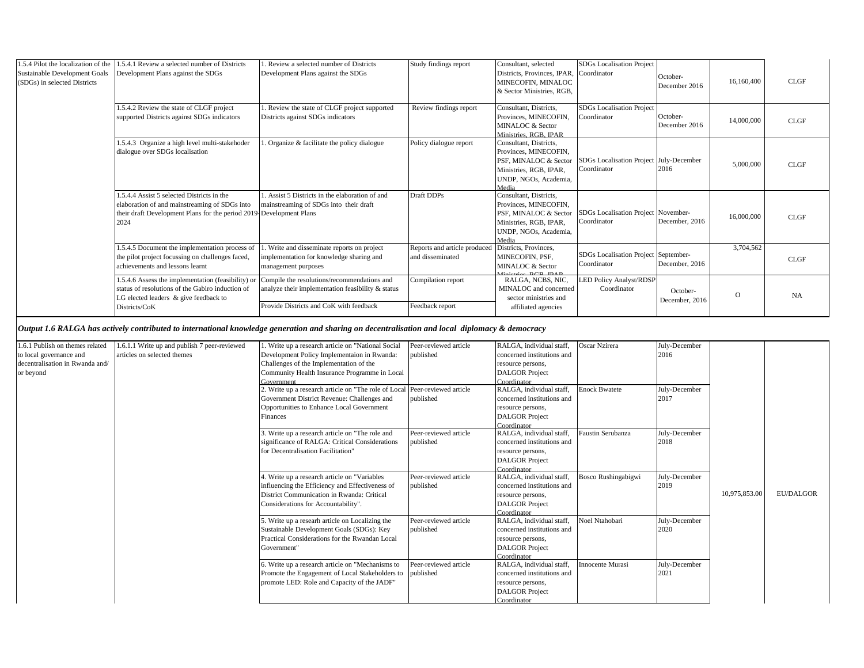| 1.5.4 Pilot the localization of the<br>Sustainable Development Goals<br>(SDGs) in selected Districts | 1.5.4.1 Review a selected number of Districts<br>Development Plans against the SDGs                                                                                        | Review a selected number of Districts<br>Development Plans against the SDGs                                                                 | Study findings report                            | Consultant, selected<br>Districts, Provinces, IPAR, Coordinator<br>MINECOFIN, MINALOC<br>& Sector Ministries, RGB.                   | SDGs Localisation Project                              | October-<br>December 2016  | 16,160,400 | <b>CLGF</b> |
|------------------------------------------------------------------------------------------------------|----------------------------------------------------------------------------------------------------------------------------------------------------------------------------|---------------------------------------------------------------------------------------------------------------------------------------------|--------------------------------------------------|--------------------------------------------------------------------------------------------------------------------------------------|--------------------------------------------------------|----------------------------|------------|-------------|
|                                                                                                      | 1.5.4.2 Review the state of CLGF project<br>supported Districts against SDGs indicators                                                                                    | Review the state of CLGF project supported<br>Districts against SDGs indicators                                                             | Review findings report                           | Consultant, Districts.<br>Provinces, MINECOFIN.<br>MINALOC & Sector<br>Ministries, RGB, IPAR                                         | <b>SDGs</b> Localisation Project<br>Coordinator        | October-<br>December 2016  | 14,000,000 | CLGF        |
|                                                                                                      | 1.5.4.3 Organize a high level multi-stakehoder<br>dialogue over SDGs localisation                                                                                          | Organize & facilitate the policy dialogue                                                                                                   | Policy dialogue report                           | Consultant, Districts,<br>Provinces, MINECOFIN,<br>PSF, MINALOC & Sector<br>Ministries, RGB, IPAR.<br>UNDP, NGOs, Academia.<br>Media | SDGs Localisation Project July-December<br>Coordinator | 2016                       | 5,000,000  | CLGF        |
|                                                                                                      | 1.5.4.4 Assist 5 selected Districts in the<br>elaboration of and mainstreaming of SDGs into<br>their draft Development Plans for the period 2019-Development Plans<br>2024 | Assist 5 Districts in the elaboration of and<br>mainstreaming of SDGs into their draft                                                      | Draft DDPs                                       | Consultant, Districts,<br>Provinces, MINECOFIN,<br>PSF, MINALOC & Sector<br>Ministries, RGB, IPAR,<br>UNDP, NGOs, Academia,<br>Media | SDGs Localisation Project November-<br>Coordinator     | December, 2016             | 16,000,000 | <b>CLGF</b> |
|                                                                                                      | 1.5.4.5 Document the implementation process of<br>the pilot project focussing on challenges faced,<br>achievements and lessons learnt                                      | Write and disseminate reports on project<br>implementation for knowledge sharing and<br>management purposes                                 | Reports and article produced<br>and disseminated | Districts, Provinces,<br>MINECOFIN, PSF,<br>MINALOC & Sector<br><b>DCD IDAD</b>                                                      | SDGs Localisation Project September-<br>Coordinator    | December, 2016             | 3,704,562  | <b>CLGF</b> |
|                                                                                                      | 1.5.4.6 Assess the implementation (feasibility) or<br>status of resolutions of the Gabiro induction of<br>LG elected leaders & give feedback to<br>Districts/CoK           | Compile the resolutions/recommendations and<br>analyze their implementation feasibility & status<br>Provide Districts and CoK with feedback | Compilation report<br>Feedback report            | RALGA, NCBS, NIC,<br>MINALOC and concerned<br>sector ministries and<br>affiliated agencies                                           | <b>LED Policy Analyst/RDSP</b><br>Coordinator          | October-<br>December, 2016 | $\circ$    | <b>NA</b>   |

# *Output 1.6 RALGA has actively contributed to international knowledge generation and sharing on decentralisation and local diplomacy & democracy*

| 1.6.1 Publish on themes related | 1.6.1.1 Write up and publish 7 peer-reviewed | Write up a research article on "National Social                         | Peer-reviewed article | RALGA, individual staff,   | Oscar Nzirera        | July-December |               |                  |
|---------------------------------|----------------------------------------------|-------------------------------------------------------------------------|-----------------------|----------------------------|----------------------|---------------|---------------|------------------|
| to local governance and         | articles on selected themes                  | Development Policy Implementaion in Rwanda:                             | published             | concerned institutions and |                      | 2016          |               |                  |
| decentralisation in Rwanda and/ |                                              | Challenges of the Implementation of the                                 |                       | resource persons,          |                      |               |               |                  |
| or beyond                       |                                              | Community Health Insurance Programme in Local                           |                       | <b>DALGOR</b> Project      |                      |               |               |                  |
|                                 |                                              | Government                                                              |                       | Coordinator                |                      |               |               |                  |
|                                 |                                              | Write up a research article on "The role of Local Peer-reviewed article |                       | RALGA, individual staff,   | <b>Enock Bwatete</b> | July-December |               |                  |
|                                 |                                              | Government District Revenue: Challenges and                             | published             | concerned institutions and |                      | 2017          |               |                  |
|                                 |                                              | Opportunities to Enhance Local Government                               |                       | resource persons,          |                      |               |               |                  |
|                                 |                                              | Finances                                                                |                       | <b>DALGOR</b> Project      |                      |               |               |                  |
|                                 |                                              |                                                                         |                       | Coordinator                |                      |               |               |                  |
|                                 |                                              | Write up a research article on "The role and                            | Peer-reviewed article | RALGA, individual staff,   | Faustin Serubanza    | July-December |               |                  |
|                                 |                                              | significance of RALGA: Critical Considerations                          | published             | concerned institutions and |                      | 2018          |               |                  |
|                                 |                                              | for Decentralisation Facilitation"                                      |                       | resource persons,          |                      |               |               |                  |
|                                 |                                              |                                                                         |                       | <b>DALGOR</b> Project      |                      |               |               |                  |
|                                 |                                              |                                                                         |                       | Coordinator                |                      |               |               |                  |
|                                 |                                              | Write up a research article on "Variables"                              | Peer-reviewed article | RALGA, individual staff.   | Bosco Rushingabigwi  | July-December |               |                  |
|                                 |                                              | influencing the Efficiency and Effectiveness of                         | published             | concerned institutions and |                      | 2019          |               |                  |
|                                 |                                              | District Communication in Rwanda: Critical                              |                       | resource persons,          |                      |               | 10,975,853.00 | <b>EU/DALGOR</b> |
|                                 |                                              | Considerations for Accountability".                                     |                       | <b>DALGOR</b> Project      |                      |               |               |                  |
|                                 |                                              |                                                                         |                       | Coordinator                |                      |               |               |                  |
|                                 |                                              | Write up a researh article on Localizing the                            | Peer-reviewed article | RALGA, individual staff,   | Noel Ntahobari       | July-December |               |                  |
|                                 |                                              | Sustainable Development Goals (SDGs): Key                               | published             | concerned institutions and |                      | 2020          |               |                  |
|                                 |                                              | Practical Considerations for the Rwandan Local                          |                       | resource persons,          |                      |               |               |                  |
|                                 |                                              | Government"                                                             |                       | <b>DALGOR</b> Project      |                      |               |               |                  |
|                                 |                                              |                                                                         |                       | Coordinator                |                      |               |               |                  |
|                                 |                                              | Write up a research article on "Mechanisms to                           | Peer-reviewed article | RALGA, individual staff,   | Innocente Murasi     | July-December |               |                  |
|                                 |                                              | Promote the Engagement of Local Stakeholders to published               |                       | concerned institutions and |                      | 2021          |               |                  |
|                                 |                                              | promote LED: Role and Capacity of the JADF"                             |                       | resource persons,          |                      |               |               |                  |
|                                 |                                              |                                                                         |                       | <b>DALGOR</b> Project      |                      |               |               |                  |
|                                 |                                              |                                                                         |                       | Coordinator                |                      |               |               |                  |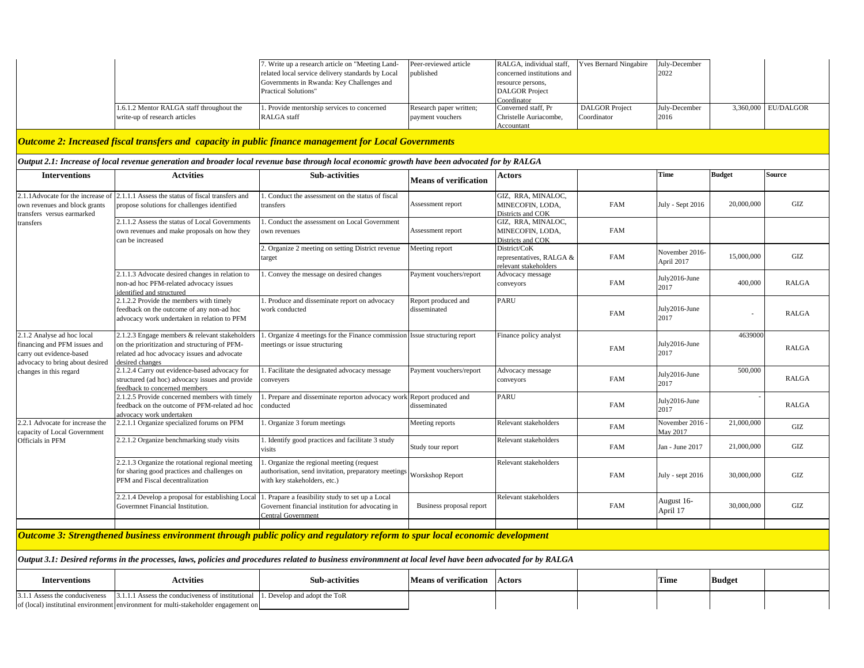|                                                                                                                             |                                                                                                                                                                   | 7. Write up a research article on "Meeting Land-<br>related local service delivery standards by Local<br>Governments in Rwanda: Key Challenges and<br><b>Practical Solutions"</b> | Peer-reviewed article<br>published          | RALGA, individual staff,<br>concerned institutions and<br>resource persons,<br><b>DALGOR</b> Project<br>Coordinator | Yves Bernard Ningabire               | July-December<br>2022        |               |                  |  |
|-----------------------------------------------------------------------------------------------------------------------------|-------------------------------------------------------------------------------------------------------------------------------------------------------------------|-----------------------------------------------------------------------------------------------------------------------------------------------------------------------------------|---------------------------------------------|---------------------------------------------------------------------------------------------------------------------|--------------------------------------|------------------------------|---------------|------------------|--|
|                                                                                                                             | 1.6.1.2 Mentor RALGA staff throughout the<br>write-up of research articles                                                                                        | 1. Provide mentorship services to concerned<br>RALGA staff                                                                                                                        | Research paper written;<br>payment vouchers | Converned staff, Pr<br>Christelle Auriacombe.<br>Accountant                                                         | <b>DALGOR</b> Project<br>Coordinator | July-December<br>2016        | 3,360,000     | <b>EU/DALGOR</b> |  |
|                                                                                                                             |                                                                                                                                                                   | Outcome 2: Increased fiscal transfers and capacity in public finance management for Local Governments                                                                             |                                             |                                                                                                                     |                                      |                              |               |                  |  |
|                                                                                                                             |                                                                                                                                                                   | Output 2.1: Increase of local revenue generation and broader local revenue base through local economic growth have been advocated for by RALGA                                    |                                             |                                                                                                                     |                                      |                              |               |                  |  |
| <b>Interventions</b>                                                                                                        | <b>Actvities</b>                                                                                                                                                  | <b>Sub-activities</b>                                                                                                                                                             | <b>Means of verification</b>                | Actors                                                                                                              |                                      | Time                         | <b>Budget</b> | Source           |  |
| 2.1.1Advocate for the increase of<br>own revenues and block grants<br>transfers versus earmarked                            | 2.1.1.1 Assess the status of fiscal transfers and<br>propose solutions for challenges identified                                                                  | Conduct the assessment on the status of fiscal<br>transfers                                                                                                                       | Assessment report                           | GIZ, RRA, MINALOC,<br>MINECOFIN, LODA,<br>Districts and COK                                                         | FAM                                  | July - Sept 2016             | 20,000,000    | GIZ              |  |
| transfers                                                                                                                   | 2.1.1.2 Assess the status of Local Governments<br>own revenues and make proposals on how they<br>can be increased                                                 | Conduct the assessment on Local Government<br>own revenues                                                                                                                        | Assessment report                           | GIZ, RRA, MINALOC,<br>MINECOFIN, LODA,<br>Districts and COK                                                         | <b>FAM</b>                           |                              |               |                  |  |
|                                                                                                                             |                                                                                                                                                                   | 2. Organize 2 meeting on setting District revenue<br>arget                                                                                                                        | Meeting report                              | District/CoK<br>representatives, RALGA &<br>relevant stakeholders                                                   | <b>FAM</b>                           | November 2016-<br>April 2017 | 15,000,000    | GIZ              |  |
|                                                                                                                             | 2.1.1.3 Advocate desired changes in relation to<br>non-ad hoc PFM-related advocacy issues<br>identified and structured                                            | . Convey the message on desired changes                                                                                                                                           | Payment vouchers/report                     | Advocacy message<br>conveyors                                                                                       | <b>FAM</b>                           | July2016-June<br>2017        | 400,000       | <b>RALGA</b>     |  |
|                                                                                                                             | 2.1.2.2 Provide the members with timely<br>feedback on the outcome of any non-ad hoc<br>advocacy work undertaken in relation to PFM                               | 1. Produce and disseminate report on advocacy<br>vork conducted                                                                                                                   | Report produced and<br>disseminated         | <b>PARU</b>                                                                                                         | <b>FAM</b>                           | July2016-June<br>2017        |               | <b>RALGA</b>     |  |
| 2.1.2 Analyse ad hoc local<br>financing and PFM issues and<br>carry out evidence-based<br>advocacy to bring about desired   | 2.1.2.3 Engage members & relevant stakeholders<br>on the prioritization and structuring of PFM-<br>related ad hoc advocacy issues and advocate<br>desired changes | 1. Organize 4 meetings for the Finance commission Issue structuring report<br>meetings or issue structuring                                                                       |                                             | Finance policy analyst                                                                                              | FAM                                  | July2016-June<br>2017        | 4639000       | <b>RALGA</b>     |  |
| changes in this regard                                                                                                      | 2.1.2.4 Carry out evidence-based advocacy for<br>structured (ad hoc) advocacy issues and provide<br>feedback to concerned members                                 | 1. Facilitate the designated advocacy message<br>conveyers                                                                                                                        | Payment vouchers/report                     | Advocacy message<br>conveyors                                                                                       | <b>FAM</b>                           | July2016-June<br>2017        | 500,000       | <b>RALGA</b>     |  |
|                                                                                                                             | 2.1.2.5 Provide concerned members with timely<br>feedback on the outcome of PFM-related ad hoc<br>advocacy work undertaken                                        | . Prepare and disseminate reporton advocacy work Report produced and<br>conducted                                                                                                 | disseminated                                | <b>PARU</b>                                                                                                         | FAM                                  | July2016-June<br>2017        |               | <b>RALGA</b>     |  |
| 2.2.1 Advocate for increase the<br>capacity of Local Government                                                             | 2.2.1.1 Organize specialized forums on PFM                                                                                                                        | Organize 3 forum meetings                                                                                                                                                         | Meeting reports                             | Relevant stakeholders                                                                                               | <b>FAM</b>                           | November 2016<br>May 2017    | 21,000,000    | GL               |  |
| Officials in PFM                                                                                                            | 2.2.1.2 Organize benchmarking study visits                                                                                                                        | . Identify good practices and facilitate 3 study<br>visits                                                                                                                        | Study tour report                           | Relevant stakeholders                                                                                               | FAM                                  | Jan - June 2017              | 21,000,000    | GLZ              |  |
|                                                                                                                             | 2.2.1.3 Organize the rotational regional meeting<br>for sharing good practices and challenges on<br>PFM and Fiscal decentralization                               | Organize the regional meeting (request<br>authorisation, send invitation, preparatory meetings Worskshop Report<br>with key stakeholders, etc.)                                   |                                             | Relevant stakeholders                                                                                               | <b>FAM</b>                           | July - sept 2016             | 30,000,000    | $\rm{GIZ}$       |  |
|                                                                                                                             | 2.2.1.4 Develop a proposal for establishing Local<br>Governmet Financial Institution.                                                                             | . Prapare a feasibility study to set up a Local<br>Governent financial institution for advocating in<br>Central Government                                                        | Business proposal report                    | Relevant stakeholders                                                                                               | FAM                                  | August 16-<br>April 17       | 30,000,000    | $\rm{GIZ}$       |  |
| Outcome 3: Strengthened business environment through public policy and regulatory reform to spur local economic development |                                                                                                                                                                   |                                                                                                                                                                                   |                                             |                                                                                                                     |                                      |                              |               |                  |  |
|                                                                                                                             |                                                                                                                                                                   | Output 3.1: Desired reforms in the processes, laws, policies and procedures related to business environmnent at local level have been advocated for by RALGA                      |                                             |                                                                                                                     |                                      |                              |               |                  |  |
| <b>Interventions</b>                                                                                                        | <b>Actvities</b>                                                                                                                                                  | <b>Sub-activities</b>                                                                                                                                                             | <b>Means of verification</b>                | <b>Actors</b>                                                                                                       |                                      | Time                         | <b>Budget</b> |                  |  |
| 3.1.1 Assess the conduciveness                                                                                              | 3.1.1.1 Assess the conduciveness of institutional<br>of (local) institutinal environment environment for multi-stakeholder engagement on                          | 1. Develop and adopt the ToR                                                                                                                                                      |                                             |                                                                                                                     |                                      |                              |               |                  |  |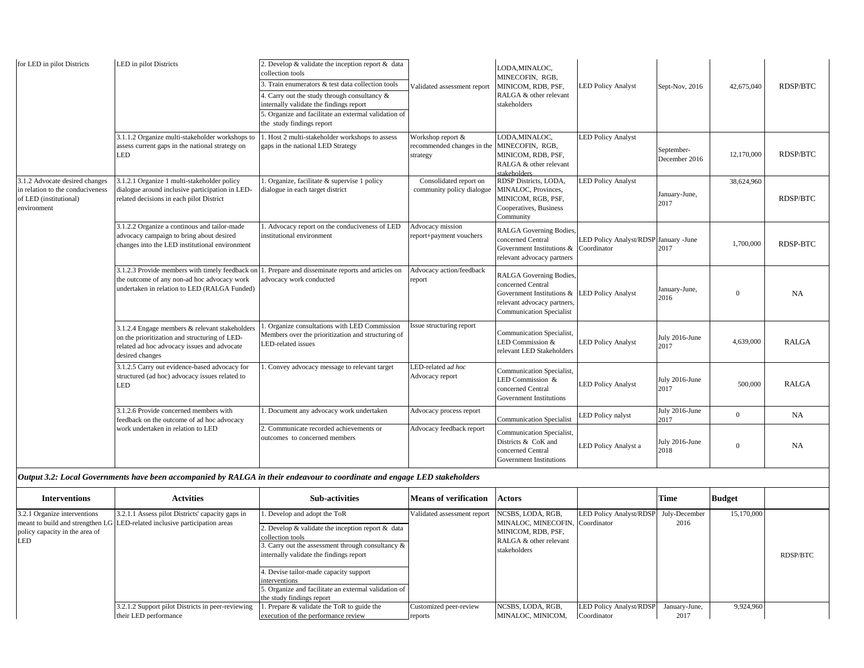| for LED in pilot Districts                                                                                  | LED in pilot Districts                                                                                                                                            | 2. Develop $&$ validate the inception report $&$ data<br>collection tools                                                                                                                            |                                                             | LODA, MINALOC,<br>MINECOFIN, RGB,                                                                                                           |                                                      |                             |                |                 |
|-------------------------------------------------------------------------------------------------------------|-------------------------------------------------------------------------------------------------------------------------------------------------------------------|------------------------------------------------------------------------------------------------------------------------------------------------------------------------------------------------------|-------------------------------------------------------------|---------------------------------------------------------------------------------------------------------------------------------------------|------------------------------------------------------|-----------------------------|----------------|-----------------|
|                                                                                                             |                                                                                                                                                                   | 3. Train enumerators & test data collection tools<br>4. Carry out the study through consultancy &<br>internally validate the findings report<br>5. Organize and facilitate an extermal validation of | Validated assessment report                                 | MINICOM, RDB, PSF,<br>RALGA & other relevant<br>stakeholders                                                                                | <b>LED Policy Analyst</b>                            | Sept-Nov, 2016              | 42,675,040     | <b>RDSP/BTC</b> |
|                                                                                                             |                                                                                                                                                                   | the study findings report                                                                                                                                                                            |                                                             |                                                                                                                                             |                                                      |                             |                |                 |
|                                                                                                             | 3.1.1.2 Organize multi-stakeholder workshops to<br>assess current gaps in the national strategy on<br>LED                                                         | 1. Host 2 multi-stakeholder workshops to assess<br>gaps in the national LED Strategy                                                                                                                 | Workshop report &<br>recommended changes in the<br>strategy | LODA, MINALOC,<br>MINECOFIN, RGB.<br>MINICOM, RDB, PSF,<br>RALGA & other relevant<br>stakeholders                                           | <b>LED Policy Analyst</b>                            | September-<br>December 2016 | 12,170,000     | <b>RDSP/BTC</b> |
| 3.1.2 Advocate desired changes<br>in relation to the conduciveness<br>of LED (institutional)<br>environment | 3.1.2.1 Organize 1 multi-stakeholder policy<br>dialogue around inclusive participation in LED-<br>related decisions in each pilot District                        | . Organize, facilitate & supervise 1 policy<br>dialogue in each target district                                                                                                                      | Consolidated report on<br>community policy dialogue         | RDSP Districts, LODA,<br>MINALOC, Provinces,<br>MINICOM, RGB, PSF,<br>Cooperatives, Business<br>Community                                   | <b>ED Policy Analyst</b>                             | January-June,<br>2017       | 38,624,960     | <b>RDSP/BTC</b> |
|                                                                                                             | 3.1.2.2 Organize a continous and tailor-made<br>advocacy campaign to bring about desired<br>changes into the LED institutional environment                        | 1. Advocacy report on the conduciveness of LED<br>institutional environment                                                                                                                          | Advocacy mission<br>report+payment vouchers                 | RALGA Governing Bodies,<br>concerned Central<br>Government Institutions &<br>relevant advocacy partners                                     | LED Policy Analyst/RDSP January -June<br>Coordinator | 2017                        | 1,700,000      | RDSP-BTC        |
|                                                                                                             | 3.1.2.3 Provide members with timely feedback on<br>the outcome of any non-ad hoc advocacy work<br>undertaken in relation to LED (RALGA Funded)                    | . Prepare and disseminate reports and articles on<br>advocacy work conducted                                                                                                                         | Advocacy action/feedback<br>eport                           | RALGA Governing Bodies,<br>concerned Central<br>Government Institutions &<br>relevant advocacy partners,<br><b>Communication Specialist</b> | <b>LED Policy Analyst</b>                            | January-June,<br>2016       | $\Omega$       | <b>NA</b>       |
|                                                                                                             | 3.1.2.4 Engage members & relevant stakeholders<br>on the prioritization and structuring of LED-<br>related ad hoc advocacy issues and advocate<br>desired changes | . Organize consultations with LED Commission<br>Members over the prioritization and structuring of<br>LED-related issues                                                                             | ssue structuring report                                     | Communication Specialist,<br>LED Commission &<br>relevant LED Stakeholders                                                                  | <b>LED Policy Analyst</b>                            | July 2016-June<br>2017      | 4,639,000      | <b>RALGA</b>    |
|                                                                                                             | 3.1.2.5 Carry out evidence-based advocacy for<br>structured (ad hoc) advocacy issues related to<br>LED                                                            | . Convey advocacy message to relevant target                                                                                                                                                         | ED-related ad hoc<br>Advocacy report                        | Communication Specialist,<br>LED Commission &<br>concerned Central<br>Government Institutions                                               | <b>LED Policy Analyst</b>                            | July 2016-June<br>2017      | 500,000        | RAIGA           |
|                                                                                                             | 3.1.2.6 Provide concerned members with<br>feedback on the outcome of ad hoc advocacy                                                                              | . Document any advocacy work undertaken                                                                                                                                                              | Advocacy process report                                     | <b>Communication Specialist</b>                                                                                                             | <b>ED</b> Policy nalyst                              | July 2016-June<br>2017      | $\overline{0}$ | <b>NA</b>       |
|                                                                                                             | work undertaken in relation to LED                                                                                                                                | 2. Communicate recorded achievements or<br>outcomes to concerned members                                                                                                                             | Advocacy feedback report                                    | Communication Specialist,<br>Districts & CoK and<br>concerned Central<br>Government Institutions                                            | <b>ED Policy Analyst a</b>                           | July 2016-June<br>2018      | $\overline{0}$ | <b>NA</b>       |

## *Output 3.2: Local Governments have been accompanied by RALGA in their endeavour to coordinate and engage LED stakeholders*

| <b>Interventions</b>                                                  | <b>Actvities</b>                                                                                                               | <b>Sub-activities</b>                                                                                                                                                                                                                                                                                                                                     | <b>Means of verification</b> | <b>Actors</b>                                                                                                        |                                       | Time          | <b>Budget</b> |                 |
|-----------------------------------------------------------------------|--------------------------------------------------------------------------------------------------------------------------------|-----------------------------------------------------------------------------------------------------------------------------------------------------------------------------------------------------------------------------------------------------------------------------------------------------------------------------------------------------------|------------------------------|----------------------------------------------------------------------------------------------------------------------|---------------------------------------|---------------|---------------|-----------------|
| 3.2.1 Organize interventions<br>policy capacity in the area of<br>LED | 3.2.1.1 Assess pilot Districts' capacity gaps in<br>meant to build and strengthen LG LED-related inclusive participation areas | 1. Develop and adopt the ToR<br>2. Develop $&$ validate the inception report $&$ data<br>collection tools<br>3. Carry out the assessment through consultancy &<br>internally validate the findings report<br>4. Devise tailor-made capacity support<br>interventions<br>5. Organize and facilitate an extermal validation of<br>the study findings report | Validated assessment report  | NCSBS, LODA, RGB,<br>MINALOC, MINECOFIN, Coordinator<br>MINICOM. RDB. PSF.<br>RALGA & other relevant<br>stakeholders | LED Policy Analyst/RDSP July-December | 2016          | 15,170,000    | <b>RDSP/BTC</b> |
|                                                                       | 3.2.1.2 Support pilot Districts in peer-reviewing                                                                              | 1. Prepare & validate the ToR to guide the                                                                                                                                                                                                                                                                                                                | Customized peer-review       | NCSBS, LODA, RGB,                                                                                                    | <b>LED Policy Analyst/RDSP</b>        | January-June, | 9,924,960     |                 |
|                                                                       | their LED performance                                                                                                          | execution of the performance review                                                                                                                                                                                                                                                                                                                       | reports                      | MINALOC, MINICOM,                                                                                                    | Coordinator                           | 2017          |               |                 |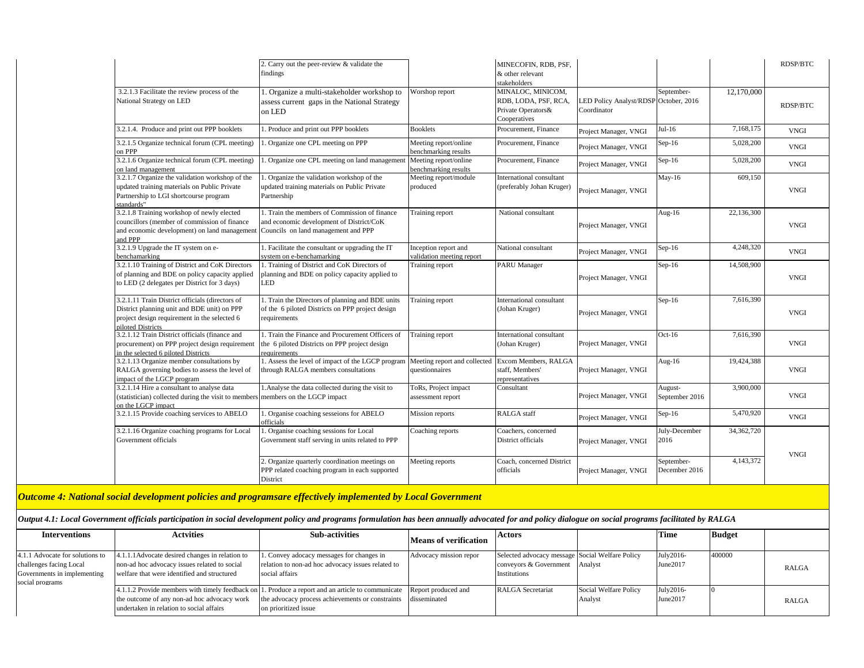|                                                                                                                                                                     | 2. Carry out the peer-review & validate the<br>findings                                                                          |                                                   | MINECOFIN, RDB, PSF,<br>& other relevant<br>stakeholders                        |                                                      |                             |            | <b>RDSP/BTC</b> |
|---------------------------------------------------------------------------------------------------------------------------------------------------------------------|----------------------------------------------------------------------------------------------------------------------------------|---------------------------------------------------|---------------------------------------------------------------------------------|------------------------------------------------------|-----------------------------|------------|-----------------|
| 3.2.1.3 Facilitate the review process of the<br>National Strategy on LED                                                                                            | . Organize a multi-stakeholder workshop to<br>assess current gaps in the National Strategy<br>on LED                             | Worshop report                                    | MINALOC, MINICOM,<br>RDB, LODA, PSF, RCA,<br>Private Operators&<br>Cooperatives | LED Policy Analyst/RDSP October, 2016<br>Coordinator | September-                  | 12,170,000 | RDSP/BTC        |
| 3.2.1.4. Produce and print out PPP booklets                                                                                                                         | . Produce and print out PPP booklets                                                                                             | <b>Booklets</b>                                   | Procurement, Finance                                                            | Project Manager, VNGI                                | $Jul-16$                    | 7,168,175  | <b>VNGI</b>     |
| 3.2.1.5 Organize technical forum (CPL meeting)<br>on PPP                                                                                                            | . Organize one CPL meeting on PPP                                                                                                | Meeting report/online<br>benchmarking results     | Procurement, Finance                                                            | Project Manager, VNGI                                | $Sep-16$                    | 5,028,200  | <b>VNGI</b>     |
| 3.2.1.6 Organize technical forum (CPL meeting)<br>on land management                                                                                                | Organize one CPL meeting on land management                                                                                      | Meeting report/online<br>benchmarking results     | Procurement, Finance                                                            | Project Manager, VNGI                                | Sep-16                      | 5,028,200  | <b>VNGI</b>     |
| 3.2.1.7 Organize the validation workshop of the<br>updated training materials on Public Private<br>Partnership to LGI shortcourse program<br>standards"             | . Organize the validation workshop of the<br>updated training materials on Public Private<br>Partnership                         | Meeting report/module<br>produced                 | International consultant<br>(preferably Johan Kruger)                           | Project Manager, VNGI                                | $May-16$                    | 609,150    | <b>VNGI</b>     |
| 3.2.1.8 Training workshop of newly elected<br>councillors (member of commission of finance<br>and economic development) on land management<br>and PPP               | 1. Train the members of Commission of finance<br>and economic development of District/CoK<br>Councils on land management and PPP | Training report                                   | National consultant                                                             | Project Manager, VNGI                                | Aug-16                      | 22,136,300 | <b>VNGI</b>     |
| 3.2.1.9 Upgrade the IT system on e-<br>benchamarking                                                                                                                | 1. Facilitate the consultant or upgrading the IT<br>system on e-benchamarking                                                    | Inception report and<br>validation meeting report | National consultant                                                             | Project Manager, VNGI                                | $Sep-16$                    | 4,248,320  | <b>VNGI</b>     |
| 3.2.1.10 Training of District and CoK Directors<br>of planning and BDE on policy capacity applied<br>to LED (2 delegates per District for 3 days)                   | 1. Training of District and CoK Directors of<br>planning and BDE on policy capacity applied to<br>LED                            | Training report                                   | <b>PARU</b> Manager                                                             | Project Manager, VNGI                                | $Sep-16$                    | 14,508,900 | <b>VNGI</b>     |
| 3.2.1.11 Train District officials (directors of<br>District planning unit and BDE unit) on PPP<br>project design requirement in the selected 6<br>piloted Districts | . Train the Directors of planning and BDE units<br>of the 6 piloted Districts on PPP project design<br>requirements              | Training report                                   | International consultant<br>(Johan Kruger)                                      | Project Manager, VNGI                                | $Sep-16$                    | 7,616,390  | <b>VNGI</b>     |
| 3.2.1.12 Train District officials (finance and<br>procurement) on PPP project design requirement<br>in the selected 6 piloted Districts                             | . Train the Finance and Procurement Officers of<br>the 6 piloted Districts on PPP project design<br>requirements                 | Training report                                   | International consultant<br>(Johan Kruger)                                      | Project Manager, VNGI                                | $Oct-16$                    | 7,616,390  | <b>VNGI</b>     |
| 3.2.1.13 Organize member consultations by<br>RALGA governing bodies to assess the level of<br>impact of the LGCP program                                            | 1. Assess the level of impact of the LGCP program<br>through RALGA members consultations                                         | Meeting report and collected<br>questionnaires    | Excom Members, RALGA<br>staff. Members'<br>representatives                      | Project Manager, VNGI                                | Aug- $16$                   | 19,424,388 | <b>VNGI</b>     |
| 3.2.1.14 Hire a consultant to analyse data<br>(statistician) collected during the visit to members<br>on the LGCP impact                                            | 1. Analyse the data collected during the visit to<br>members on the LGCP impact                                                  | ToRs, Project impact<br>assessment report         | Consultant                                                                      | Project Manager, VNGI                                | August-<br>September 2016   | 3,900,000  | <b>VNGI</b>     |
| 3.2.1.15 Provide coaching services to ABELO                                                                                                                         | . Organise coaching sesseions for ABELO<br>officials                                                                             | Mission reports                                   | <b>RALGA</b> staff                                                              | Project Manager, VNGI                                | $Sep-16$                    | 5,470,920  | <b>VNGI</b>     |
| 3.2.1.16 Organize coaching programs for Local<br>Government officials                                                                                               | 1. Organise coaching sessions for Local<br>Government staff serving in units related to PPP                                      | Coaching reports                                  | Coachers, concerned<br>District officials                                       | Project Manager, VNGI                                | July-December<br>2016       | 34,362,720 | <b>VNGI</b>     |
|                                                                                                                                                                     | Organize quarterly coordination meetings on<br>PPP related coaching program in each supported<br>District                        | Meeting reports                                   | Coach, concerned District<br>officials                                          | Project Manager, VNGI                                | September-<br>December 2016 | 4.143.372  |                 |

*Outcome 4: National social development policies and programsare effectively implemented by Local Government*

*Output 4.1: Local Government officials participation in social development policy and programs formulation has been annually advocated for and policy dialogue on social programs facilitated by RALGA* 

| <b>Interventions</b>                                                                                         | <b>Actvities</b>                                                                                                                              | <b>Sub-activities</b>                                                                                                                                                                                          | Means of verification  | Actors                                                                                    |                                  | Time                  | <b>Budget</b> |              |
|--------------------------------------------------------------------------------------------------------------|-----------------------------------------------------------------------------------------------------------------------------------------------|----------------------------------------------------------------------------------------------------------------------------------------------------------------------------------------------------------------|------------------------|-------------------------------------------------------------------------------------------|----------------------------------|-----------------------|---------------|--------------|
| 4.1.1 Advocate for solutions to<br>challenges facing Local<br>Governments in implementing<br>social programs | 4.1.1.1Advocate desired changes in relation to<br>non-ad hoc advocacy issues related to social<br>welfare that were identified and structured | 1. Convey adocacy messages for changes in<br>relation to non-ad hoc advocacy issues related to<br>social affairs                                                                                               | Advocacy mission repor | Selected advocacy message Social Welfare Policy<br>conveyors & Government<br>Institutions | Analyst                          | July2016-<br>June2017 | 400000        | <b>RALGA</b> |
|                                                                                                              | the outcome of any non-ad hoc advocacy work<br>undertaken in relation to social affairs                                                       | 4.1.1.2 Provide members with timely feedback on 1. Produce a report and an article to communicate Report produced and<br>the advocacy process achievements or constraints disseminated<br>on prioritized issue |                        | RALGA Secretariat                                                                         | Social Welfare Policy<br>Analyst | July2016-<br>June2017 |               | <b>RALGA</b> |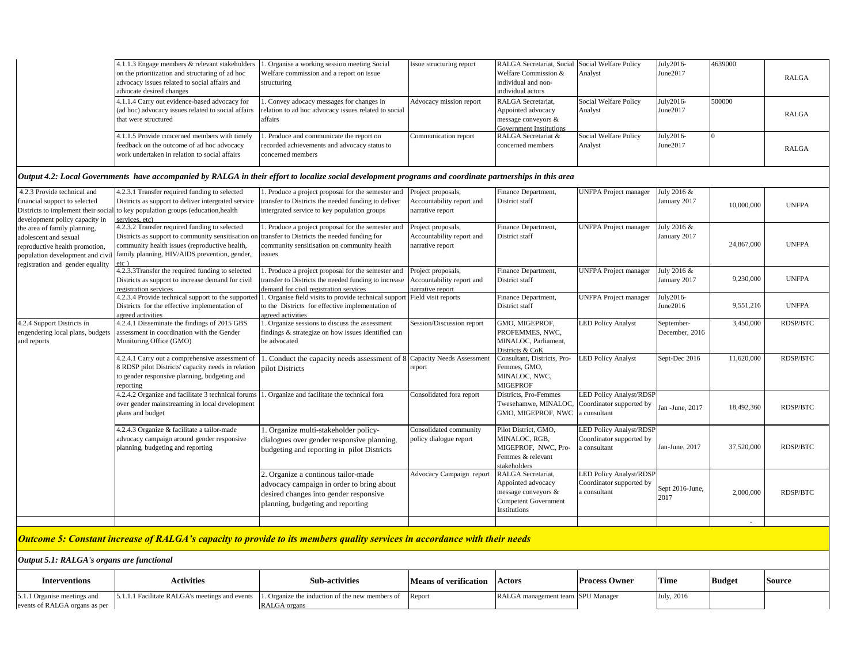| Social Welfare Policy<br>4.1.1.4 Carry out evidence-based advocacy for<br>July2016-<br>500000<br>. Convey adocacy messages for changes in<br>Advocacy mission report<br>RALGA Secretariat,<br>June2017<br>(ad hoc) advocacy issues related to social affairs<br>relation to ad hoc advocacy issues related to social<br>Appointed advocacy<br>Analyst<br><b>RALGA</b><br>affairs<br>that were structured<br>message conveyors &<br><b>Government Institutions</b><br>RALGA Secretariat &<br>Social Welfare Policy<br>July2016-<br>4.1.1.5 Provide concerned members with timely<br>. Produce and communicate the report on<br>$\Omega$<br>Communication report<br>June2017<br>feedback on the outcome of ad hoc advocacy<br>recorded achievements and advocacy status to<br>concerned members<br>Analyst<br><b>RALGA</b><br>work undertaken in relation to social affairs<br>concerned members<br>Output 4.2: Local Governments have accompanied by RALGA in their effort to localize social development programs and coordinate partnerships in this area<br>4.2.3 Provide technical and<br>1. Produce a project proposal for the semester and<br><b>UNFPA</b> Project manager<br>July 2016 &<br>4.2.3.1 Transfer required funding to selected<br>Project proposals,<br>Finance Department,<br>Districts as support to deliver intergrated service<br>transfer to Districts the needed funding to deliver<br>financial support to selected<br>Accountability report and<br>District staff<br>January 2017<br>10,000,000<br><b>UNFPA</b><br>to key population groups (education, health<br>intergrated service to key population groups<br>narrative report<br>development policy capacity in<br>services, etc)<br>4.2.3.2 Transfer required funding to selected<br>1. Produce a project proposal for the semester and<br><b>UNFPA</b> Project manager<br>July 2016 &<br>Project proposals,<br>Finance Department,<br>the area of family planning,<br>Districts as support to community sensitisation on<br>transfer to Districts the needed funding for<br>Accountability report and<br>District staff<br>January 2017<br>adolescent and sexual<br>24,867,000<br><b>UNFPA</b><br>community health issues (reproductive health,<br>community sensitisation on community health<br>narrative report<br>reproductive health promotion,<br>family planning, HIV/AIDS prevention, gender,<br>issues<br>population development and civil<br>etc)<br>registration and gender equality<br>4.2.3.3Transfer the required funding to selected<br>Finance Department,<br><b>UNFPA</b> Project manager<br>July 2016 &<br>. Produce a project proposal for the semester and<br>Project proposals,<br>9,230,000<br><b>UNFPA</b><br>Districts as support to increase demand for civil<br>Accountability report and<br>transfer to Districts the needed funding to increase<br>District staff<br>January 2017<br>registration services<br>demand for civil registration services<br>narrative report<br>4.2.3.4 Provide technical support to the supported<br><b>UNFPA</b> Project manager<br>. Organise field visits to provide technical support<br>Field visit reports<br>Finance Department,<br>July2016-<br>9,551,216<br><b>UNFPA</b><br>Districts for the effective implementation of<br>to the Districts for effective implementation of<br>District staff<br>June2016<br>greed activities<br>agreed activities<br>4.2.4 Support Districts in<br>4.2.4.1 Disseminate the findings of 2015 GBS<br>. Organize sessions to discuss the assessment<br>GMO, MIGEPROF,<br><b>LED Policy Analyst</b><br>3,450,000<br><b>RDSP/BTC</b><br>Session/Discussion report<br>September-<br>PROFEMMES, NWC.<br>engendering local plans, budgets<br>assessment in coordination with the Gender<br>December, 2016<br>findings & strategize on how issues identified can<br>MINALOC, Parliament,<br>and reports<br>Monitoring Office (GMO)<br>be advocated<br>Districts & CoK<br>11,620,000<br>4.2.4.1 Carry out a comprehensive assessment of<br>1. Conduct the capacity needs assessment of 8 Capacity Needs Assessment<br>Consultant, Districts, Pro-<br><b>LED Policy Analyst</b><br>Sept-Dec 2016<br><b>RDSP/BTC</b><br>8 RDSP pilot Districts' capacity needs in relation<br>Femmes, GMO,<br>pilot Districts<br>report<br>MINALOC, NWC,<br>to gender responsive planning, budgeting and<br><b>MIGEPROF</b><br>reporting<br>4.2.4.2 Organize and facilitate 3 technical forums<br><b>LED Policy Analyst/RDSP</b><br>. Organize and facilitate the technical fora<br>Districts, Pro-Femmes<br>Consolidated fora report<br>Coordinator supported by<br>over gender mainstreaming in local development<br>Twesehamwe, MINALOC,<br>18,492,360<br><b>RDSP/BTC</b><br>Jan -June, 2017<br>GMO, MIGEPROF, NWC<br>a consultant<br>plans and budget<br>4.2.4.3 Organize & facilitate a tailor-made<br>1. Organize multi-stakeholder policy-<br>Consolidated community<br>Pilot District, GMO.<br><b>LED Policy Analyst/RDSP</b><br>advocacy campaign around gender responsive<br>policy dialogue report<br>MINALOC, RGB,<br>Coordinator supported by<br>dialogues over gender responsive planning,<br>37,520,000<br><b>RDSP/BTC</b><br>Jan-June, 2017<br>planning, budgeting and reporting<br>MIGEPROF, NWC, Pro-<br>a consultant<br>budgeting and reporting in pilot Districts<br>Femmes & relevant<br>stakeholders<br>2. Organize a continous tailor-made<br>RALGA Secretariat,<br><b>LED Policy Analyst/RDSP</b><br>Advocacy Campaign report<br>Appointed advocacy<br>Coordinator supported by<br>advocacy campaign in order to bring about<br>Sept 2016-June,<br>message conveyors &<br>a consultant<br>2,000,000<br><b>RDSP/BTC</b><br>desired changes into gender responsive<br>2017<br>Competent Government<br>planning, budgeting and reporting<br>Institutions | 4.1.1.3 Engage members & relevant stakeholders<br>on the prioritization and structuring of ad hoc<br>advocacy issues related to social affairs and<br>advocate desired changes | 1. Organise a working session meeting Social<br>Welfare commission and a report on issue<br>structuring | Issue structuring report | RALGA Secretariat, Social<br>Welfare Commission &<br>individual and non-<br>individual actors | Social Welfare Policy<br>Analyst | July2016-<br>June2017 | 4639000 | <b>RALGA</b> |
|----------------------------------------------------------------------------------------------------------------------------------------------------------------------------------------------------------------------------------------------------------------------------------------------------------------------------------------------------------------------------------------------------------------------------------------------------------------------------------------------------------------------------------------------------------------------------------------------------------------------------------------------------------------------------------------------------------------------------------------------------------------------------------------------------------------------------------------------------------------------------------------------------------------------------------------------------------------------------------------------------------------------------------------------------------------------------------------------------------------------------------------------------------------------------------------------------------------------------------------------------------------------------------------------------------------------------------------------------------------------------------------------------------------------------------------------------------------------------------------------------------------------------------------------------------------------------------------------------------------------------------------------------------------------------------------------------------------------------------------------------------------------------------------------------------------------------------------------------------------------------------------------------------------------------------------------------------------------------------------------------------------------------------------------------------------------------------------------------------------------------------------------------------------------------------------------------------------------------------------------------------------------------------------------------------------------------------------------------------------------------------------------------------------------------------------------------------------------------------------------------------------------------------------------------------------------------------------------------------------------------------------------------------------------------------------------------------------------------------------------------------------------------------------------------------------------------------------------------------------------------------------------------------------------------------------------------------------------------------------------------------------------------------------------------------------------------------------------------------------------------------------------------------------------------------------------------------------------------------------------------------------------------------------------------------------------------------------------------------------------------------------------------------------------------------------------------------------------------------------------------------------------------------------------------------------------------------------------------------------------------------------------------------------------------------------------------------------------------------------------------------------------------------------------------------------------------------------------------------------------------------------------------------------------------------------------------------------------------------------------------------------------------------------------------------------------------------------------------------------------------------------------------------------------------------------------------------------------------------------------------------------------------------------------------------------------------------------------------------------------------------------------------------------------------------------------------------------------------------------------------------------------------------------------------------------------------------------------------------------------------------------------------------------------------------------------------------------------------------------------------------------------------------------------------------------------------------------------------------------------------------------------------------------------------------------------------------------------------------------------------------------------------------------------------------------------------------------------------------------------------------------------------------------------------------------------------------------------------------------------------------------------------------------------------------------------------------------------------------------------------------------------------------------------------------------------------------------------------------------------------------------------------------------------------------------------------------------------------------------------------------------------------------------------------------------------------------------------------------------------------------------------------------------------------------------------------------------|--------------------------------------------------------------------------------------------------------------------------------------------------------------------------------|---------------------------------------------------------------------------------------------------------|--------------------------|-----------------------------------------------------------------------------------------------|----------------------------------|-----------------------|---------|--------------|
| Districts to implement their social                                                                                                                                                                                                                                                                                                                                                                                                                                                                                                                                                                                                                                                                                                                                                                                                                                                                                                                                                                                                                                                                                                                                                                                                                                                                                                                                                                                                                                                                                                                                                                                                                                                                                                                                                                                                                                                                                                                                                                                                                                                                                                                                                                                                                                                                                                                                                                                                                                                                                                                                                                                                                                                                                                                                                                                                                                                                                                                                                                                                                                                                                                                                                                                                                                                                                                                                                                                                                                                                                                                                                                                                                                                                                                                                                                                                                                                                                                                                                                                                                                                                                                                                                                                                                                                                                                                                                                                                                                                                                                                                                                                                                                                                                                                                                                                                                                                                                                                                                                                                                                                                                                                                                                                                                                                                                                                                                                                                                                                                                                                                                                                                                                                                                                                                                                                                    |                                                                                                                                                                                |                                                                                                         |                          |                                                                                               |                                  |                       |         |              |
|                                                                                                                                                                                                                                                                                                                                                                                                                                                                                                                                                                                                                                                                                                                                                                                                                                                                                                                                                                                                                                                                                                                                                                                                                                                                                                                                                                                                                                                                                                                                                                                                                                                                                                                                                                                                                                                                                                                                                                                                                                                                                                                                                                                                                                                                                                                                                                                                                                                                                                                                                                                                                                                                                                                                                                                                                                                                                                                                                                                                                                                                                                                                                                                                                                                                                                                                                                                                                                                                                                                                                                                                                                                                                                                                                                                                                                                                                                                                                                                                                                                                                                                                                                                                                                                                                                                                                                                                                                                                                                                                                                                                                                                                                                                                                                                                                                                                                                                                                                                                                                                                                                                                                                                                                                                                                                                                                                                                                                                                                                                                                                                                                                                                                                                                                                                                                                        |                                                                                                                                                                                |                                                                                                         |                          |                                                                                               |                                  |                       |         |              |
|                                                                                                                                                                                                                                                                                                                                                                                                                                                                                                                                                                                                                                                                                                                                                                                                                                                                                                                                                                                                                                                                                                                                                                                                                                                                                                                                                                                                                                                                                                                                                                                                                                                                                                                                                                                                                                                                                                                                                                                                                                                                                                                                                                                                                                                                                                                                                                                                                                                                                                                                                                                                                                                                                                                                                                                                                                                                                                                                                                                                                                                                                                                                                                                                                                                                                                                                                                                                                                                                                                                                                                                                                                                                                                                                                                                                                                                                                                                                                                                                                                                                                                                                                                                                                                                                                                                                                                                                                                                                                                                                                                                                                                                                                                                                                                                                                                                                                                                                                                                                                                                                                                                                                                                                                                                                                                                                                                                                                                                                                                                                                                                                                                                                                                                                                                                                                                        |                                                                                                                                                                                |                                                                                                         |                          |                                                                                               |                                  |                       |         |              |
|                                                                                                                                                                                                                                                                                                                                                                                                                                                                                                                                                                                                                                                                                                                                                                                                                                                                                                                                                                                                                                                                                                                                                                                                                                                                                                                                                                                                                                                                                                                                                                                                                                                                                                                                                                                                                                                                                                                                                                                                                                                                                                                                                                                                                                                                                                                                                                                                                                                                                                                                                                                                                                                                                                                                                                                                                                                                                                                                                                                                                                                                                                                                                                                                                                                                                                                                                                                                                                                                                                                                                                                                                                                                                                                                                                                                                                                                                                                                                                                                                                                                                                                                                                                                                                                                                                                                                                                                                                                                                                                                                                                                                                                                                                                                                                                                                                                                                                                                                                                                                                                                                                                                                                                                                                                                                                                                                                                                                                                                                                                                                                                                                                                                                                                                                                                                                                        |                                                                                                                                                                                |                                                                                                         |                          |                                                                                               |                                  |                       |         |              |
|                                                                                                                                                                                                                                                                                                                                                                                                                                                                                                                                                                                                                                                                                                                                                                                                                                                                                                                                                                                                                                                                                                                                                                                                                                                                                                                                                                                                                                                                                                                                                                                                                                                                                                                                                                                                                                                                                                                                                                                                                                                                                                                                                                                                                                                                                                                                                                                                                                                                                                                                                                                                                                                                                                                                                                                                                                                                                                                                                                                                                                                                                                                                                                                                                                                                                                                                                                                                                                                                                                                                                                                                                                                                                                                                                                                                                                                                                                                                                                                                                                                                                                                                                                                                                                                                                                                                                                                                                                                                                                                                                                                                                                                                                                                                                                                                                                                                                                                                                                                                                                                                                                                                                                                                                                                                                                                                                                                                                                                                                                                                                                                                                                                                                                                                                                                                                                        |                                                                                                                                                                                |                                                                                                         |                          |                                                                                               |                                  |                       |         |              |
|                                                                                                                                                                                                                                                                                                                                                                                                                                                                                                                                                                                                                                                                                                                                                                                                                                                                                                                                                                                                                                                                                                                                                                                                                                                                                                                                                                                                                                                                                                                                                                                                                                                                                                                                                                                                                                                                                                                                                                                                                                                                                                                                                                                                                                                                                                                                                                                                                                                                                                                                                                                                                                                                                                                                                                                                                                                                                                                                                                                                                                                                                                                                                                                                                                                                                                                                                                                                                                                                                                                                                                                                                                                                                                                                                                                                                                                                                                                                                                                                                                                                                                                                                                                                                                                                                                                                                                                                                                                                                                                                                                                                                                                                                                                                                                                                                                                                                                                                                                                                                                                                                                                                                                                                                                                                                                                                                                                                                                                                                                                                                                                                                                                                                                                                                                                                                                        |                                                                                                                                                                                |                                                                                                         |                          |                                                                                               |                                  |                       |         |              |
|                                                                                                                                                                                                                                                                                                                                                                                                                                                                                                                                                                                                                                                                                                                                                                                                                                                                                                                                                                                                                                                                                                                                                                                                                                                                                                                                                                                                                                                                                                                                                                                                                                                                                                                                                                                                                                                                                                                                                                                                                                                                                                                                                                                                                                                                                                                                                                                                                                                                                                                                                                                                                                                                                                                                                                                                                                                                                                                                                                                                                                                                                                                                                                                                                                                                                                                                                                                                                                                                                                                                                                                                                                                                                                                                                                                                                                                                                                                                                                                                                                                                                                                                                                                                                                                                                                                                                                                                                                                                                                                                                                                                                                                                                                                                                                                                                                                                                                                                                                                                                                                                                                                                                                                                                                                                                                                                                                                                                                                                                                                                                                                                                                                                                                                                                                                                                                        |                                                                                                                                                                                |                                                                                                         |                          |                                                                                               |                                  |                       |         |              |
|                                                                                                                                                                                                                                                                                                                                                                                                                                                                                                                                                                                                                                                                                                                                                                                                                                                                                                                                                                                                                                                                                                                                                                                                                                                                                                                                                                                                                                                                                                                                                                                                                                                                                                                                                                                                                                                                                                                                                                                                                                                                                                                                                                                                                                                                                                                                                                                                                                                                                                                                                                                                                                                                                                                                                                                                                                                                                                                                                                                                                                                                                                                                                                                                                                                                                                                                                                                                                                                                                                                                                                                                                                                                                                                                                                                                                                                                                                                                                                                                                                                                                                                                                                                                                                                                                                                                                                                                                                                                                                                                                                                                                                                                                                                                                                                                                                                                                                                                                                                                                                                                                                                                                                                                                                                                                                                                                                                                                                                                                                                                                                                                                                                                                                                                                                                                                                        |                                                                                                                                                                                |                                                                                                         |                          |                                                                                               |                                  |                       |         |              |
|                                                                                                                                                                                                                                                                                                                                                                                                                                                                                                                                                                                                                                                                                                                                                                                                                                                                                                                                                                                                                                                                                                                                                                                                                                                                                                                                                                                                                                                                                                                                                                                                                                                                                                                                                                                                                                                                                                                                                                                                                                                                                                                                                                                                                                                                                                                                                                                                                                                                                                                                                                                                                                                                                                                                                                                                                                                                                                                                                                                                                                                                                                                                                                                                                                                                                                                                                                                                                                                                                                                                                                                                                                                                                                                                                                                                                                                                                                                                                                                                                                                                                                                                                                                                                                                                                                                                                                                                                                                                                                                                                                                                                                                                                                                                                                                                                                                                                                                                                                                                                                                                                                                                                                                                                                                                                                                                                                                                                                                                                                                                                                                                                                                                                                                                                                                                                                        |                                                                                                                                                                                |                                                                                                         |                          |                                                                                               |                                  |                       |         |              |
|                                                                                                                                                                                                                                                                                                                                                                                                                                                                                                                                                                                                                                                                                                                                                                                                                                                                                                                                                                                                                                                                                                                                                                                                                                                                                                                                                                                                                                                                                                                                                                                                                                                                                                                                                                                                                                                                                                                                                                                                                                                                                                                                                                                                                                                                                                                                                                                                                                                                                                                                                                                                                                                                                                                                                                                                                                                                                                                                                                                                                                                                                                                                                                                                                                                                                                                                                                                                                                                                                                                                                                                                                                                                                                                                                                                                                                                                                                                                                                                                                                                                                                                                                                                                                                                                                                                                                                                                                                                                                                                                                                                                                                                                                                                                                                                                                                                                                                                                                                                                                                                                                                                                                                                                                                                                                                                                                                                                                                                                                                                                                                                                                                                                                                                                                                                                                                        |                                                                                                                                                                                |                                                                                                         |                          |                                                                                               |                                  |                       |         |              |
|                                                                                                                                                                                                                                                                                                                                                                                                                                                                                                                                                                                                                                                                                                                                                                                                                                                                                                                                                                                                                                                                                                                                                                                                                                                                                                                                                                                                                                                                                                                                                                                                                                                                                                                                                                                                                                                                                                                                                                                                                                                                                                                                                                                                                                                                                                                                                                                                                                                                                                                                                                                                                                                                                                                                                                                                                                                                                                                                                                                                                                                                                                                                                                                                                                                                                                                                                                                                                                                                                                                                                                                                                                                                                                                                                                                                                                                                                                                                                                                                                                                                                                                                                                                                                                                                                                                                                                                                                                                                                                                                                                                                                                                                                                                                                                                                                                                                                                                                                                                                                                                                                                                                                                                                                                                                                                                                                                                                                                                                                                                                                                                                                                                                                                                                                                                                                                        |                                                                                                                                                                                |                                                                                                         |                          |                                                                                               |                                  |                       |         |              |
|                                                                                                                                                                                                                                                                                                                                                                                                                                                                                                                                                                                                                                                                                                                                                                                                                                                                                                                                                                                                                                                                                                                                                                                                                                                                                                                                                                                                                                                                                                                                                                                                                                                                                                                                                                                                                                                                                                                                                                                                                                                                                                                                                                                                                                                                                                                                                                                                                                                                                                                                                                                                                                                                                                                                                                                                                                                                                                                                                                                                                                                                                                                                                                                                                                                                                                                                                                                                                                                                                                                                                                                                                                                                                                                                                                                                                                                                                                                                                                                                                                                                                                                                                                                                                                                                                                                                                                                                                                                                                                                                                                                                                                                                                                                                                                                                                                                                                                                                                                                                                                                                                                                                                                                                                                                                                                                                                                                                                                                                                                                                                                                                                                                                                                                                                                                                                                        |                                                                                                                                                                                |                                                                                                         |                          |                                                                                               |                                  |                       |         |              |
| <b>Outcome 5: Constant increase of RALGA's capacity to provide to its members quality services in accordance with their needs</b>                                                                                                                                                                                                                                                                                                                                                                                                                                                                                                                                                                                                                                                                                                                                                                                                                                                                                                                                                                                                                                                                                                                                                                                                                                                                                                                                                                                                                                                                                                                                                                                                                                                                                                                                                                                                                                                                                                                                                                                                                                                                                                                                                                                                                                                                                                                                                                                                                                                                                                                                                                                                                                                                                                                                                                                                                                                                                                                                                                                                                                                                                                                                                                                                                                                                                                                                                                                                                                                                                                                                                                                                                                                                                                                                                                                                                                                                                                                                                                                                                                                                                                                                                                                                                                                                                                                                                                                                                                                                                                                                                                                                                                                                                                                                                                                                                                                                                                                                                                                                                                                                                                                                                                                                                                                                                                                                                                                                                                                                                                                                                                                                                                                                                                      |                                                                                                                                                                                |                                                                                                         |                          |                                                                                               |                                  |                       |         |              |

# *Output 5.1: RALGA's organs are functional*

| Interventions                 | Activities                                 | <b>Sub-activities</b>                           | <b>Means of verification</b> | Actors                            | <b>Process Owner</b> | Time       | <b>Budget</b> | <b>Source</b> |
|-------------------------------|--------------------------------------------|-------------------------------------------------|------------------------------|-----------------------------------|----------------------|------------|---------------|---------------|
| 5.1.1 Organise meetings and   | 1.1 Facilitate RALGA's meetings and events | 1. Organize the induction of the new members of | Report                       | RALGA management team SPU Manager |                      | July, 2016 |               |               |
| events of RALGA organs as per |                                            | RALGA organs                                    |                              |                                   |                      |            |               |               |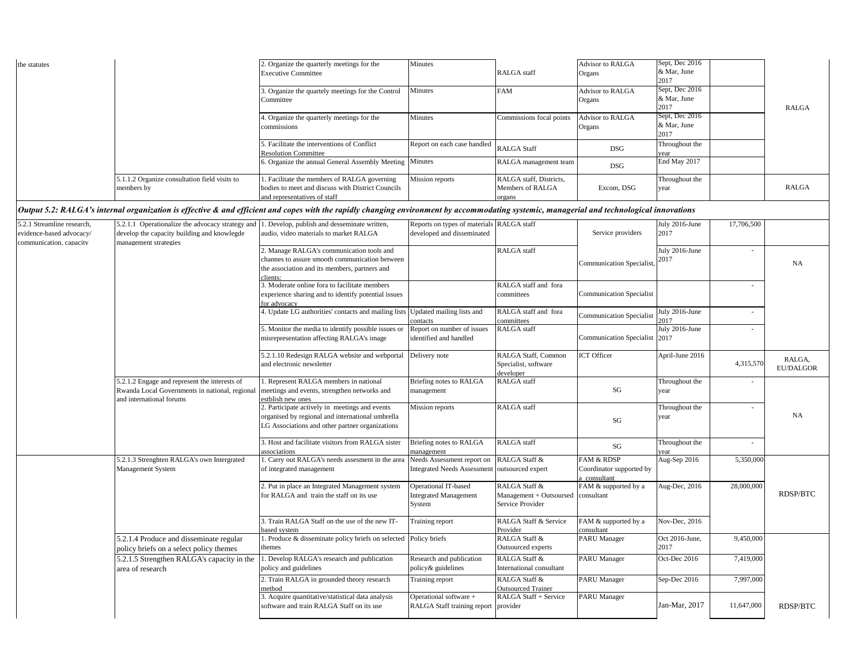| the statutes               |                                                  | 2. Organize the quarterly meetings for the                                                                                                                                                 | Minutes                                   |                          | Advisor to RALGA                | Sept, Dec 2016 |            |              |
|----------------------------|--------------------------------------------------|--------------------------------------------------------------------------------------------------------------------------------------------------------------------------------------------|-------------------------------------------|--------------------------|---------------------------------|----------------|------------|--------------|
|                            |                                                  | <b>Executive Committee</b>                                                                                                                                                                 |                                           | <b>RALGA</b> staff       | Organs                          | & Mar, June    |            |              |
|                            |                                                  |                                                                                                                                                                                            |                                           |                          |                                 | 2017           |            |              |
|                            |                                                  | 3. Organize the quartely meetings for the Control                                                                                                                                          | <b>Minutes</b>                            | <b>FAM</b>               | <b>Advisor to RALGA</b>         | Sept, Dec 2016 |            |              |
|                            |                                                  | Committee                                                                                                                                                                                  |                                           |                          | Organs                          | & Mar, June    |            |              |
|                            |                                                  |                                                                                                                                                                                            |                                           |                          |                                 | 2017           |            | <b>RALGA</b> |
|                            |                                                  | 4. Organize the quarterly meetings for the                                                                                                                                                 | <b>Minutes</b>                            | Commissions focal points | Advisor to RALGA                | Sept, Dec 2016 |            |              |
|                            |                                                  | commissions                                                                                                                                                                                |                                           |                          | Organs                          | & Mar, June    |            |              |
|                            |                                                  |                                                                                                                                                                                            |                                           |                          |                                 | 2017           |            |              |
|                            |                                                  | . Facilitate the interventions of Conflict                                                                                                                                                 | Report on each case handled               | <b>RALGA Staff</b>       | <b>DSG</b>                      | Throughout the |            |              |
|                            |                                                  | <b>Resolution Committee</b>                                                                                                                                                                |                                           |                          |                                 | vear           |            |              |
|                            |                                                  | 6. Organize the annual General Assembly Meeting Minutes                                                                                                                                    |                                           | RALGA management team    | <b>DSG</b>                      | End May 2017   |            |              |
|                            |                                                  |                                                                                                                                                                                            |                                           |                          |                                 |                |            |              |
|                            | 5.1.1.2 Organize consultation field visits to    | . Facilitate the members of RALGA governing                                                                                                                                                | Mission reports                           | RALGA staff, Districts,  |                                 | Throughout the |            |              |
|                            | members by                                       | bodies to meet and discuss with District Councils                                                                                                                                          |                                           | Members of RALGA         | Excom, DSG                      | year           |            | <b>RALGA</b> |
|                            |                                                  | and representatives of staff                                                                                                                                                               |                                           | organs                   |                                 |                |            |              |
|                            |                                                  | Output 5.2: RALGA's internal organization is effective & and efficient and copes with the rapidly changing environment by accommodating systemic, managerial and technological innovations |                                           |                          |                                 |                |            |              |
| 5.2.1 Streamline research, | 5.2.1.1 Operationalize the advocacy strategy and | . Develop, publish and desseminate written,                                                                                                                                                | Reports on types of materials RALGA staff |                          |                                 | July 2016-June | 17,706,500 |              |
| evidence-based advocacy/   | develop the capacity building and knowlegde      | audio, video materials to market RALGA                                                                                                                                                     | developed and disseminated                |                          | Service providers               | 2017           |            |              |
| communication, capacity    | management strategies                            |                                                                                                                                                                                            |                                           |                          |                                 |                |            |              |
|                            |                                                  | 2. Manage RALGA's communication tools and                                                                                                                                                  |                                           | <b>RALGA</b> staff       |                                 | July 2016-June |            |              |
|                            |                                                  | channes to assure smooth communication between                                                                                                                                             |                                           |                          |                                 | 2017           |            |              |
|                            |                                                  | the association and its members, partners and                                                                                                                                              |                                           |                          | <b>Communication Specialist</b> |                |            | NA           |

|                                                                                                                             | the association and its members, partners and                                                                                                         |                                                                                           |                                                              | Communication Specialist,                                       |                        |            | NA                         |
|-----------------------------------------------------------------------------------------------------------------------------|-------------------------------------------------------------------------------------------------------------------------------------------------------|-------------------------------------------------------------------------------------------|--------------------------------------------------------------|-----------------------------------------------------------------|------------------------|------------|----------------------------|
|                                                                                                                             | clients:<br>3. Moderate online fora to facilitate members<br>experience sharing and to identify potential issues<br>for advocacy                      |                                                                                           | RALGA staff and fora<br>committees                           | <b>Communication Specialist</b>                                 |                        |            |                            |
|                                                                                                                             | 4. Update LG authorities' contacts and mailing lists                                                                                                  | Updated mailing lists and<br>contacts                                                     | RALGA staff and fora<br>committees                           | <b>Communication Specialist</b>                                 | July 2016-June<br>2017 | $\sim$     |                            |
|                                                                                                                             | 5. Monitor the media to identify possible issues or<br>misrepresentation affecting RALGA's image                                                      | Report on number of issues<br>identified and handled                                      | RALGA staff                                                  | Communication Specialist 2017                                   | July 2016-June         |            |                            |
|                                                                                                                             | 5.2.1.10 Redesign RALGA website and webportal<br>and electronic newsletter                                                                            | Delivery note                                                                             | RALGA Staff, Common<br>Specialist, software<br>developer     | <b>ICT</b> Officer                                              | April-June 2016        | 4,315,570  | RALGA.<br><b>EU/DALGOR</b> |
| 5.2.1.2 Engage and represent the interests of<br>Rwanda Local Governments in national, regional<br>and international forums | . Represent RALGA members in national<br>meetings and events, strengthen networks and<br>estblish new ones                                            | Briefing notes to RALGA<br>management                                                     | RALGA staff                                                  | $\mathbf{S}\mathbf{G}$                                          | Throughout the<br>year |            |                            |
|                                                                                                                             | 2. Participate actively in meetings and events<br>organised by regional and international umbrella<br>LG Associations and other partner organizations | Mission reports                                                                           | RALGA staff                                                  | SG                                                              | Throughout the<br>year |            | NA                         |
|                                                                                                                             | 3. Host and facilitate visitors from RALGA sister<br>associations                                                                                     | Briefing notes to RALGA<br>management                                                     | RALGA staff                                                  | $\mathbf{S}\mathbf{G}$                                          | Throughout the         |            |                            |
| 5.2.1.3 Strenghten RALGA's own Intergrated<br>Management System                                                             | . Carry out RALGA's needs assesment in the area<br>of integrated management                                                                           | Needs Assessment report on RALGA Staff &<br>Integrated Needs Assessment outsourced expert |                                                              | <b>FAM &amp; RDSP</b><br>Coordinator supported by<br>consultant | Aug-Sep 2016           | 5,350,000  |                            |
|                                                                                                                             | 2. Put in place an Integrated Management system<br>for RALGA and train the staff on its use                                                           | Operational IT-based<br><b>Integrated Management</b><br>System                            | RALGA Staff &<br>Management + Outsoursed<br>Service Provider | FAM & supported by a<br>consultant                              | Aug-Dec, 2016          | 28,000,000 | <b>RDSP/BTC</b>            |
|                                                                                                                             | 3. Train RALGA Staff on the use of the new IT-<br>based system                                                                                        | Training report                                                                           | RALGA Staff & Service<br>Provider                            | FAM & supported by a<br>consultant                              | Nov-Dec, 2016          |            |                            |
| 5.2.1.4 Produce and disseminate regular<br>policy briefs on a select policy themes                                          | . Produce & disseminate policy briefs on selected<br>themes                                                                                           | Policy briefs                                                                             | RALGA Staff &<br>Outsourced experts                          | <b>PARU</b> Manager                                             | Oct 2016-June,<br>2017 | 9,450,000  |                            |
| 5.2.1.5 Strengthen RALGA's capacity in the<br>area of research                                                              | . Develop RALGA's research and publication<br>policy and guidelines                                                                                   | Research and publication<br>policy& guidelines                                            | RALGA Staff &<br>International consultant                    | <b>PARU Manager</b>                                             | Oct-Dec 2016           | 7,419,000  |                            |
|                                                                                                                             | 2. Train RALGA in grounded theory research<br>method                                                                                                  | Training report                                                                           | RALGA Staff &<br><b>Outsourced Trainer</b>                   | <b>PARU Manager</b>                                             | Sep-Dec 2016           | 7,997,000  |                            |
|                                                                                                                             | 3. Acquire quantitative/statistical data analysis<br>software and train RALGA Staff on its use                                                        | Operational software +<br>RALGA Staff training report provider                            | RALGA Staff + Service                                        | <b>PARU Manager</b>                                             | Jan-Mar, 2017          | 11,647,000 | <b>RDSP/BTC</b>            |
|                                                                                                                             |                                                                                                                                                       |                                                                                           |                                                              |                                                                 |                        |            |                            |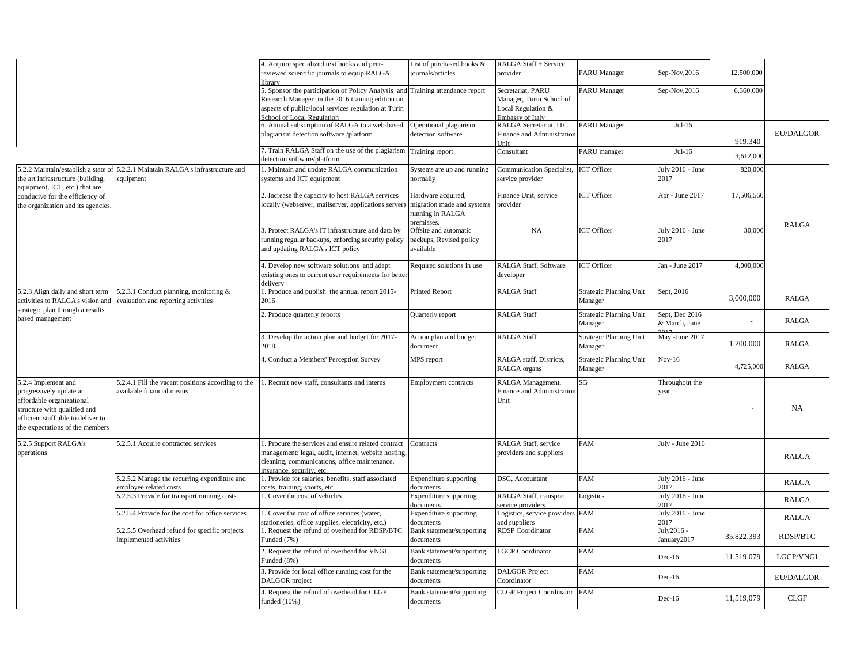|                                                                                                                                                                                      |                                                                                 | 4. Acquire specialized text books and peer-<br>reviewed scientific journals to equip RALGA<br>ibrarv                                                                                          | List of purchased books &<br>journals/articles                                   | RALGA Staff + Service<br>provider                                                       | <b>PARU</b> Manager                       | Sep-Nov, 2016                   | 12,500,000 |                  |
|--------------------------------------------------------------------------------------------------------------------------------------------------------------------------------------|---------------------------------------------------------------------------------|-----------------------------------------------------------------------------------------------------------------------------------------------------------------------------------------------|----------------------------------------------------------------------------------|-----------------------------------------------------------------------------------------|-------------------------------------------|---------------------------------|------------|------------------|
|                                                                                                                                                                                      |                                                                                 | 5. Sponsor the participation of Policy Analysis and<br>Research Manager in the 2016 training edition on<br>aspects of public/local services regulation at Turin<br>School of Local Regulation | Training attendance report                                                       | Secretariat, PARU<br>Manager, Turin School of<br>Local Regulation &<br>Embassy of Italy | <b>PARU</b> Manager                       | Sep-Nov, 2016                   | 6,360,000  |                  |
|                                                                                                                                                                                      |                                                                                 | 6. Annual subscription of RALGA to a web-based<br>plagiarism detection software /platform                                                                                                     | Operational plagiarism<br>detection software                                     | RALGA Secretariat, ITC,<br><b>Finance and Administration</b><br>Jnit                    | <b>PARU Manager</b>                       | $Jul-16$                        | 919,340    | <b>EU/DALGOR</b> |
|                                                                                                                                                                                      |                                                                                 | 7. Train RALGA Staff on the use of the plagiarism<br>detection software/platform                                                                                                              | Training report                                                                  | Consultant                                                                              | PARU manager                              | $Jul-16$                        | 3,612,000  |                  |
| 5.2.2 Maintain/establish a state of<br>the art infrastructure (building,<br>equipment, ICT, etc.) that are                                                                           | 5.2.2.1 Maintain RALGA's infrastructure and<br>equipment                        | 1. Maintain and update RALGA communication<br>systems and ICT equipment                                                                                                                       | Systems are up and running<br>normally                                           | Communication Specialist,<br>service provider                                           | <b>ICT</b> Officer                        | July 2016 - June<br>2017        | 820,000    |                  |
| conducive for the efficiency of<br>the organization and its agencies.                                                                                                                |                                                                                 | 2. Increase the capacity to host RALGA services<br>locally (webserver, mailserver, applications server)                                                                                       | Hardware acquired,<br>migration made and systems<br>running in RALGA<br>remisses | Finance Unit, service<br>provider                                                       | <b>ICT</b> Officer                        | Apr - June 2017                 | 17,506,560 | <b>RALGA</b>     |
|                                                                                                                                                                                      |                                                                                 | 3. Protect RALGA's IT infrastructure and data by<br>running regular backups, enforcing security policy<br>and updating RALGA's ICT policy                                                     | Offsite and automatic<br>backups, Revised policy<br>available                    | NA                                                                                      | <b>ICT</b> Officer                        | July 2016 - June<br>2017        | 30,000     |                  |
|                                                                                                                                                                                      |                                                                                 | 4. Develop new software solutions and adapt<br>existing ones to current user requirements for better<br>delivery                                                                              | Required solutions in use                                                        | RALGA Staff, Software<br>developer                                                      | ICT Officer                               | Jan - June 2017                 | 4,000,000  |                  |
| 5.2.3 Align daily and short term<br>activities to RALGA's vision and                                                                                                                 | 5.2.3.1 Conduct planning, monitoring &<br>evaluation and reporting activities   | . Produce and publish the annual report 2015-<br>2016                                                                                                                                         | <b>Printed Report</b>                                                            | <b>RALGA Staff</b>                                                                      | <b>Strategic Planning Unit</b><br>Manager | Sept, 2016                      | 3,000,000  | <b>RALGA</b>     |
| strategic plan through a results<br>based management                                                                                                                                 |                                                                                 | 2. Produce quarterly reports                                                                                                                                                                  | Quarterly report                                                                 | <b>RALGA Staff</b>                                                                      | Strategic Planning Unit<br>Manager        | Sept, Dec 2016<br>& March, June |            | <b>RALGA</b>     |
|                                                                                                                                                                                      |                                                                                 | 3. Develop the action plan and budget for 2017-<br>2018                                                                                                                                       | Action plan and budget<br>document                                               | RALGA Staff                                                                             | Strategic Planning Unit<br>Manager        | May -June 2017                  | 1,200,000  | <b>RALGA</b>     |
|                                                                                                                                                                                      |                                                                                 | . Conduct a Members' Perception Survey                                                                                                                                                        | MPS report                                                                       | RALGA staff, Districts,<br>RALGA organs                                                 | Strategic Planning Unit<br>Manager        | $Nov-16$                        | 4,725,000  | <b>RALGA</b>     |
| 5.2.4 Implement and<br>progressively update an<br>affordable organizational<br>structure with qualified and<br>efficient staff able to deliver to<br>the expectations of the members | 5.2.4.1 Fill the vacant positions according to the<br>available financial means | Recruit new staff, consultants and interns                                                                                                                                                    | Employment contracts                                                             | RALGA Management,<br><b>Finance and Administration</b><br>Unit                          | SG                                        | Throughout the<br>year          |            | NA.              |
| 5.2.5 Support RALGA's<br>operations                                                                                                                                                  | 5.2.5.1 Acquire contracted services                                             | 1. Procure the services and ensure related contract<br>management: legal, audit, internet, website hosting,<br>cleaning, communications, office maintenance,<br>insurance, security, etc.     | Contracts                                                                        | RALGA Staff, service<br>providers and suppliers                                         | FAM                                       | July - June 2016                |            | <b>RALGA</b>     |
|                                                                                                                                                                                      | 5.2.5.2 Manage the recurring expenditure and<br>employee related costs          | 1. Provide for salaries, benefits, staff associated<br>costs, training, sports, etc.                                                                                                          | <b>Expenditure</b> supporting<br>locuments                                       | DSG, Accountant                                                                         | FAM                                       | July 2016 - June<br>2017        |            | <b>RALGA</b>     |
|                                                                                                                                                                                      | 5.2.5.3 Provide for transport running costs                                     | Cover the cost of vehicles                                                                                                                                                                    | Expenditure supporting<br>locuments                                              | RALGA Staff, transport<br>ervice providers                                              | Logistics                                 | July 2016 - June<br>2017        |            | <b>RALGA</b>     |
|                                                                                                                                                                                      | 5.2.5.4 Provide for the cost for office services                                | . Cover the cost of office services (water,<br>tationeries, office supplies, electricity, etc.)                                                                                               | <b>Expenditure</b> supporting<br>documents                                       | Logistics, service providers<br>nd suppliers                                            | <b>FAM</b>                                | July 2016 - June<br>2017        |            | <b>RALGA</b>     |
|                                                                                                                                                                                      | 5.2.5.5 Overhead refund for specific projects<br>implemented activities         | . Request the refund of overhead for RDSP/BTC<br>Funded (7%)                                                                                                                                  | Bank statement/supporting<br>documents                                           | <b>RDSP</b> Coordinator                                                                 | FAM                                       | July2016 -<br>January2017       | 35,822,393 | RDSP/BTC         |
|                                                                                                                                                                                      |                                                                                 | 2. Request the refund of overhead for VNGI<br>Funded (8%)                                                                                                                                     | Bank statement/supporting<br>documents                                           | <b>GCP</b> Coordinator                                                                  | FAM                                       | $Dec-16$                        | 11,519,079 | LGCP/VNGI        |
|                                                                                                                                                                                      |                                                                                 | 3. Provide for local office running cost for the<br>DALGOR project                                                                                                                            | Bank statement/supporting<br>documents                                           | <b>DALGOR</b> Project<br>Coordinator                                                    | FAM                                       | $Dec-16$                        |            | <b>EU/DALGOR</b> |
|                                                                                                                                                                                      |                                                                                 | 4. Request the refund of overhead for CLGF<br>funded (10%)                                                                                                                                    | Bank statement/supporting<br>documents                                           | <b>CLGF Project Coordinator</b>                                                         | <b>FAM</b>                                | $Dec-16$                        | 11,519,079 | CLGF             |